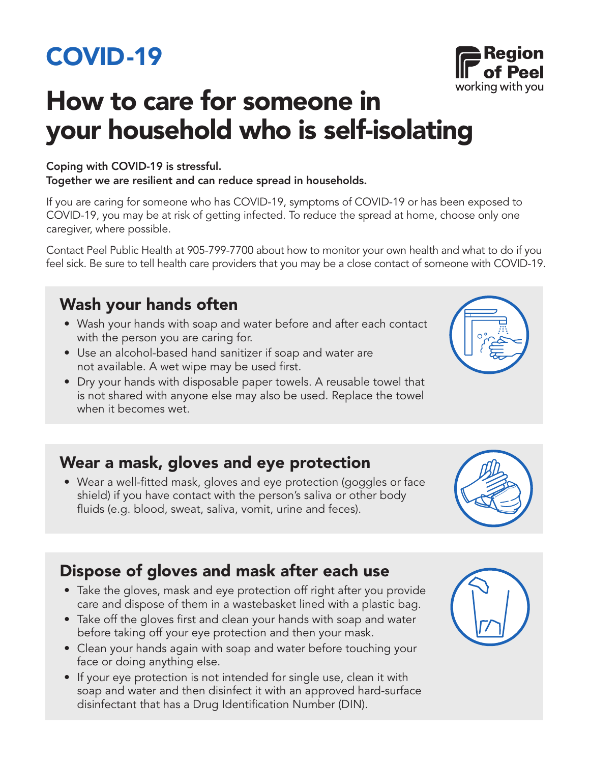# COVID-19

# How to care for someone in your household who is self-isolating

#### Coping with COVID-19 is stressful.

Together we are resilient and can reduce spread in households.

If you are caring for someone who has COVID-19, symptoms of COVID-19 or has been exposed to COVID-19, you may be at risk of getting infected. To reduce the spread at home, choose only one caregiver, where possible.

Contact Peel Public Health at 905-799-7700 about how to monitor your own health and what to do if you feel sick. Be sure to tell health care providers that you may be a close contact of someone with COVID-19.

## Wash your hands often

- Wash your hands with soap and water before and after each contact with the person you are caring for.
- Use an alcohol-based hand sanitizer if soap and water are not available. A wet wipe may be used first.
- Dry your hands with disposable paper towels. A reusable towel that is not shared with anyone else may also be used. Replace the towel when it becomes wet.

### Wear a mask, gloves and eye protection

• Wear a well-fitted mask, gloves and eye protection (goggles or face shield) if you have contact with the person's saliva or other body fluids (e.g. blood, sweat, saliva, vomit, urine and feces).



- Take the gloves, mask and eye protection off right after you provide care and dispose of them in a wastebasket lined with a plastic bag.
- Take off the gloves first and clean your hands with soap and water before taking off your eye protection and then your mask.
- Clean your hands again with soap and water before touching your face or doing anything else.
- If your eye protection is not intended for single use, clean it with soap and water and then disinfect it with an approved hard-surface disinfectant that has a Drug Identification Number (DIN).





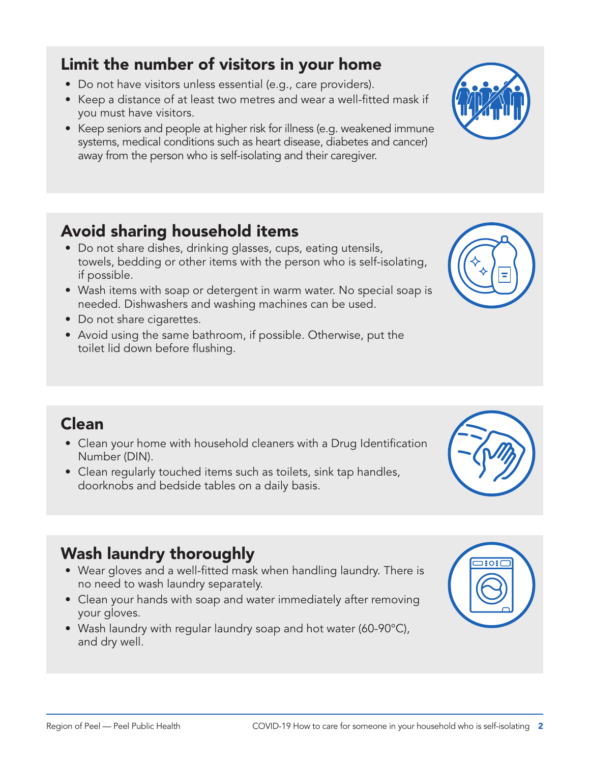#### Limit the number of visitors in your home

- Do not have visitors unless essential (e.g., care providers).
- Keep a distance of at least two metres and wear a well-fitted mask if you must have visitors.
- Keep seniors and people at higher risk for illness (e.g. weakened immune systems, medical conditions such as heart disease, diabetes and cancer) away from the person who is self-isolating and their caregiver.

### Avoid sharing household items

- Do not share dishes, drinking glasses, cups, eating utensils, towels, bedding or other items with the person who is self-isolating, if possible.
- Wash items with soap or detergent in warm water. No special soap is needed. Dishwashers and washing machines can be used.
- Do not share cigarettes.
- Avoid using the same bathroom, if possible. Otherwise, put the toilet lid down before flushing.

- Clean your home with household cleaners with a Drug Identification Number (DIN).
- Clean regularly touched items such as toilets, sink tap handles, doorknobs and bedside tables on a daily basis.

#### Wash laundry thoroughly

- Wear gloves and a well-fitted mask when handling laundry. There is no need to wash laundry separately.
- Clean your hands with soap and water immediately after removing your gloves.
- Wash laundry with regular laundry soap and hot water (60-90°C), and dry well.